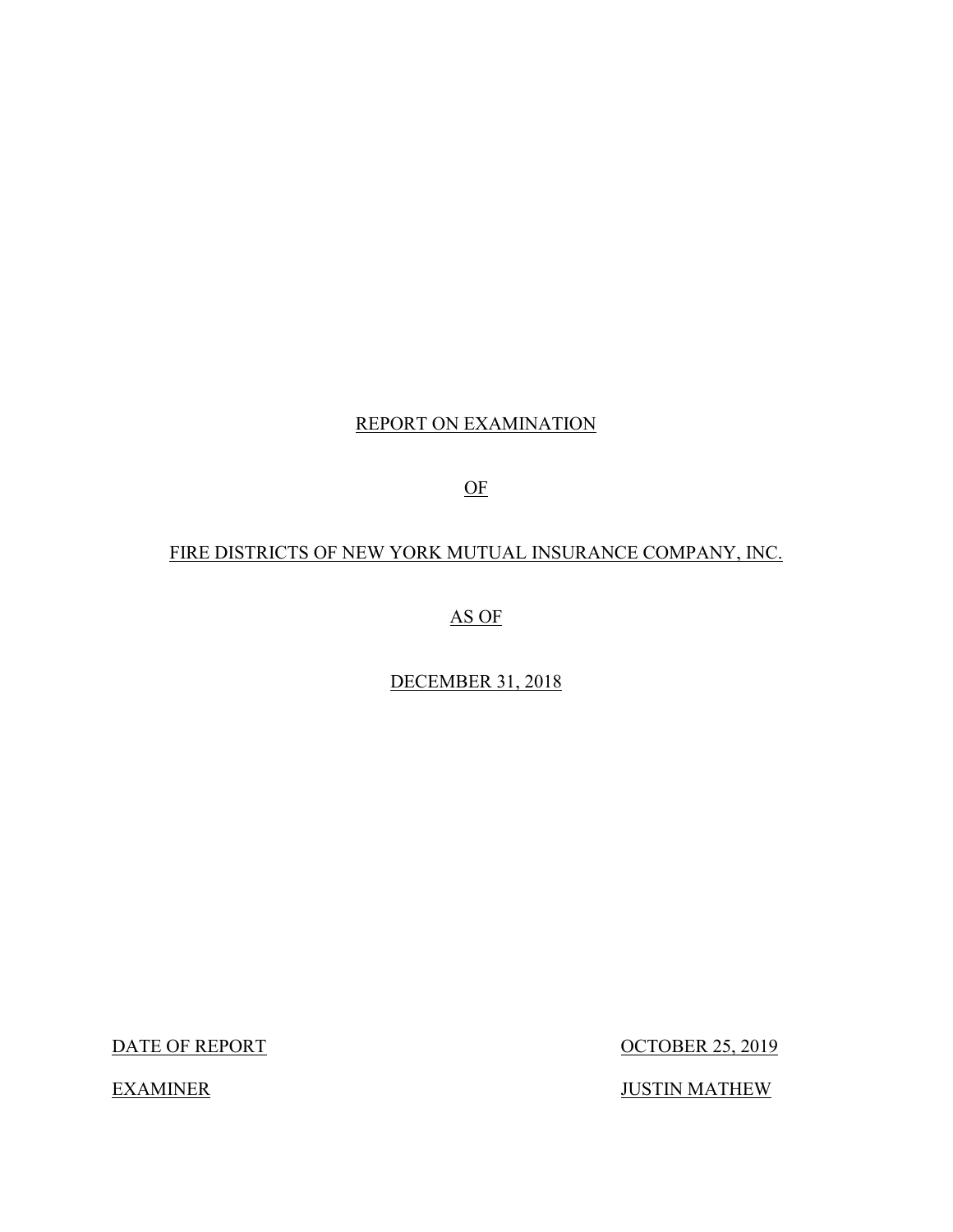## REPORT ON EXAMINATION

OF

## FIRE DISTRICTS OF NEW YORK MUTUAL INSURANCE COMPANY, INC.

AS OF

DECEMBER 31, 2018

DATE OF REPORT

**OCTOBER 25, 2019** 

JUSTIN MATHEW

**EXAMINER**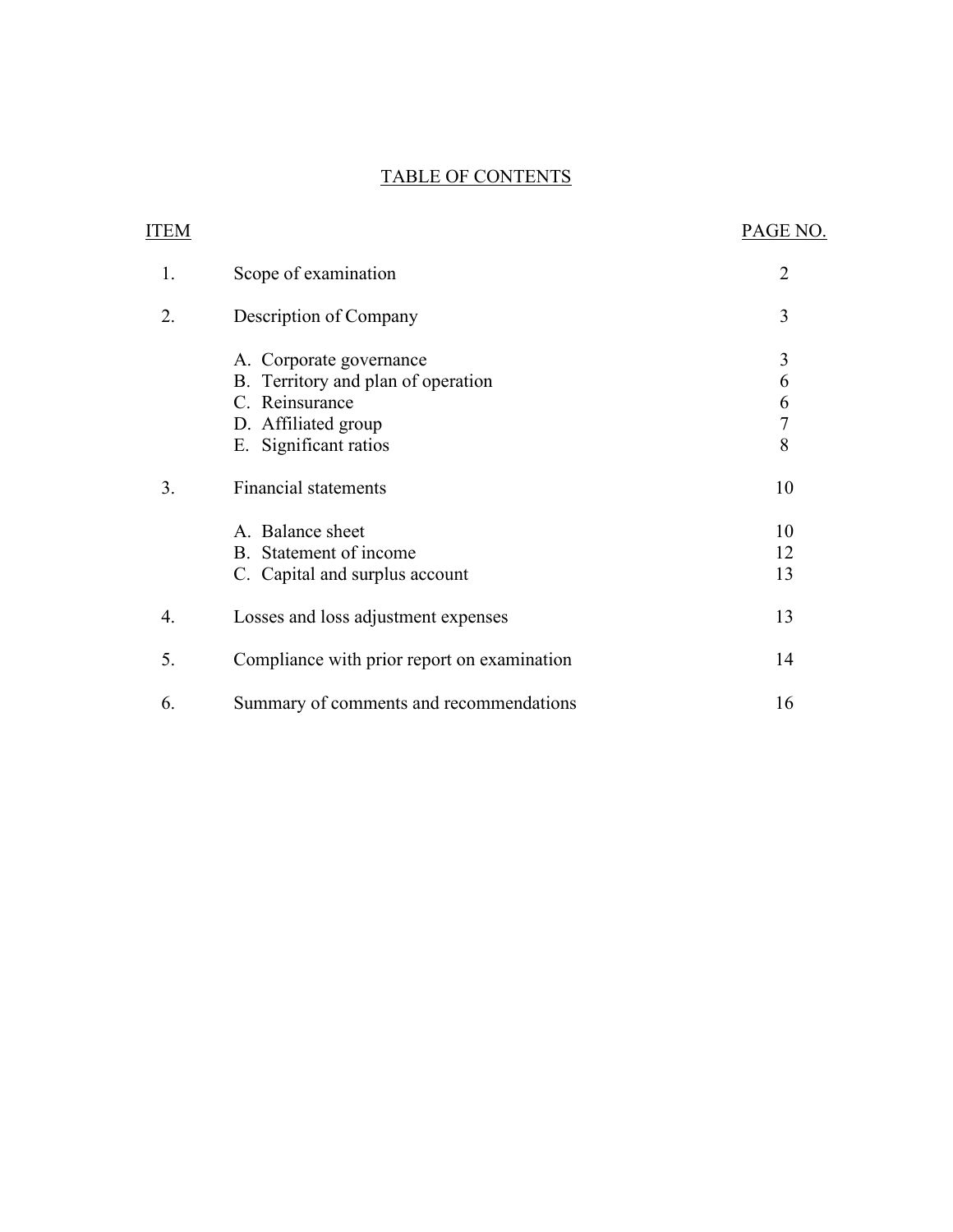## TABLE OF CONTENTS

| ITEM |                                             | PAGE NO.       |
|------|---------------------------------------------|----------------|
| 1.   | Scope of examination                        | $\overline{2}$ |
| 2.   | Description of Company                      | 3              |
|      | A. Corporate governance                     | 3              |
|      | B. Territory and plan of operation          | 6              |
|      | C. Reinsurance                              | 6              |
|      | D. Affiliated group                         | $\overline{7}$ |
|      | E. Significant ratios                       | 8              |
| 3.   | Financial statements                        | 10             |
|      | A. Balance sheet                            | 10             |
|      | B. Statement of income                      | 12             |
|      | C. Capital and surplus account              | 13             |
| 4.   | Losses and loss adjustment expenses         | 13             |
| 5.   | Compliance with prior report on examination | 14             |
| 6.   | Summary of comments and recommendations     | 16             |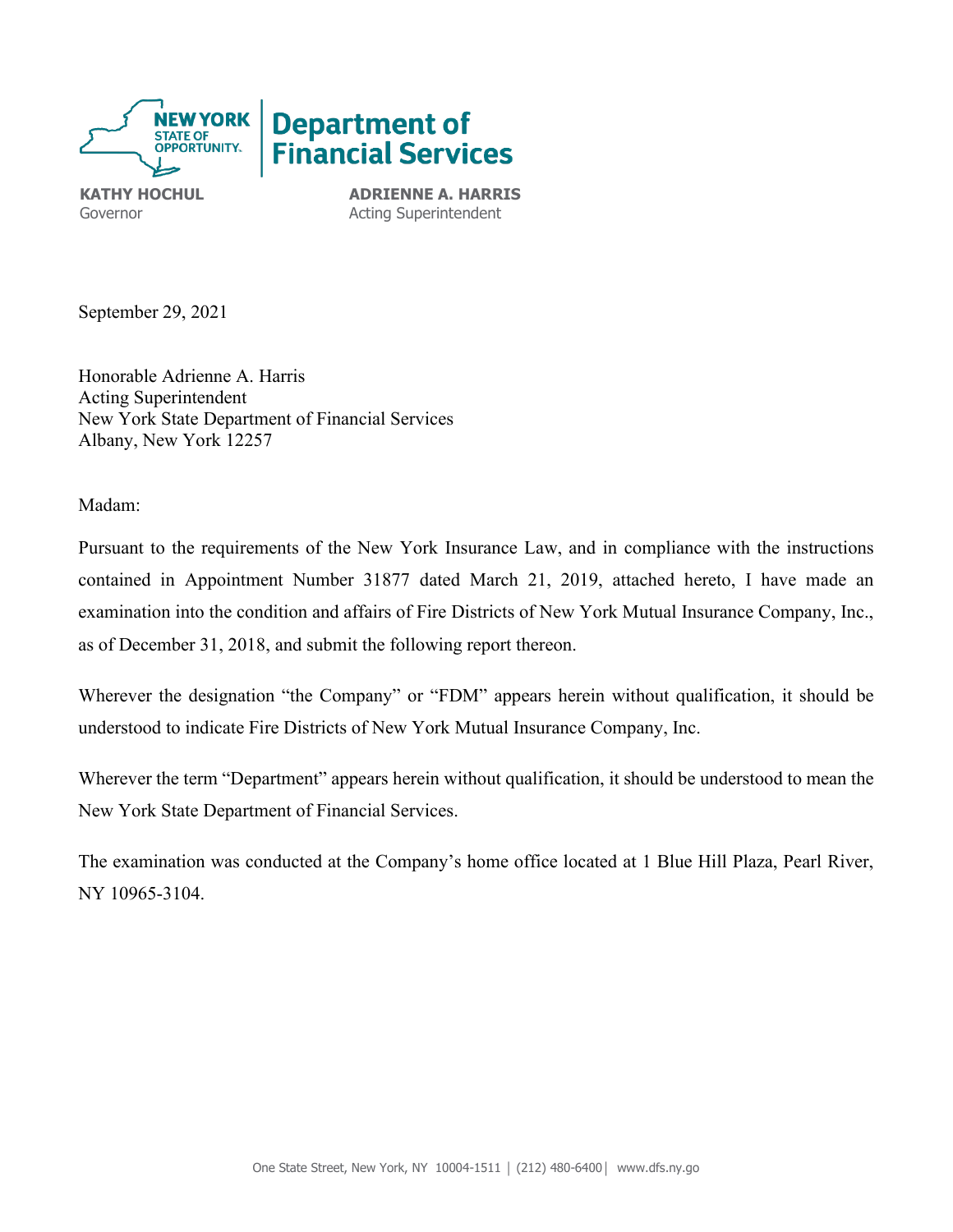

**KATHY HOCHUL ADRIENNE A. HARRIS** Governor **Acting Superintendent** 

September 29, 2021

Honorable Adrienne A. Harris Acting Superintendent New York State Department of Financial Services Albany, New York 12257

Madam:

 examination into the condition and affairs of Fire Districts of New York Mutual Insurance Company, Inc., Pursuant to the requirements of the New York Insurance Law, and in compliance with the instructions contained in Appointment Number 31877 dated March 21, 2019, attached hereto, I have made an as of December 31, 2018, and submit the following report thereon.

 Wherever the designation "the Company" or "FDM" appears herein without qualification, it should be understood to indicate Fire Districts of New York Mutual Insurance Company, Inc.

Wherever the term "Department" appears herein without qualification, it should be understood to mean the New York State Department of Financial Services.

<span id="page-2-0"></span> The examination was conducted at the Company's home office located at 1 Blue Hill Plaza, Pearl River, NY 10965-3104.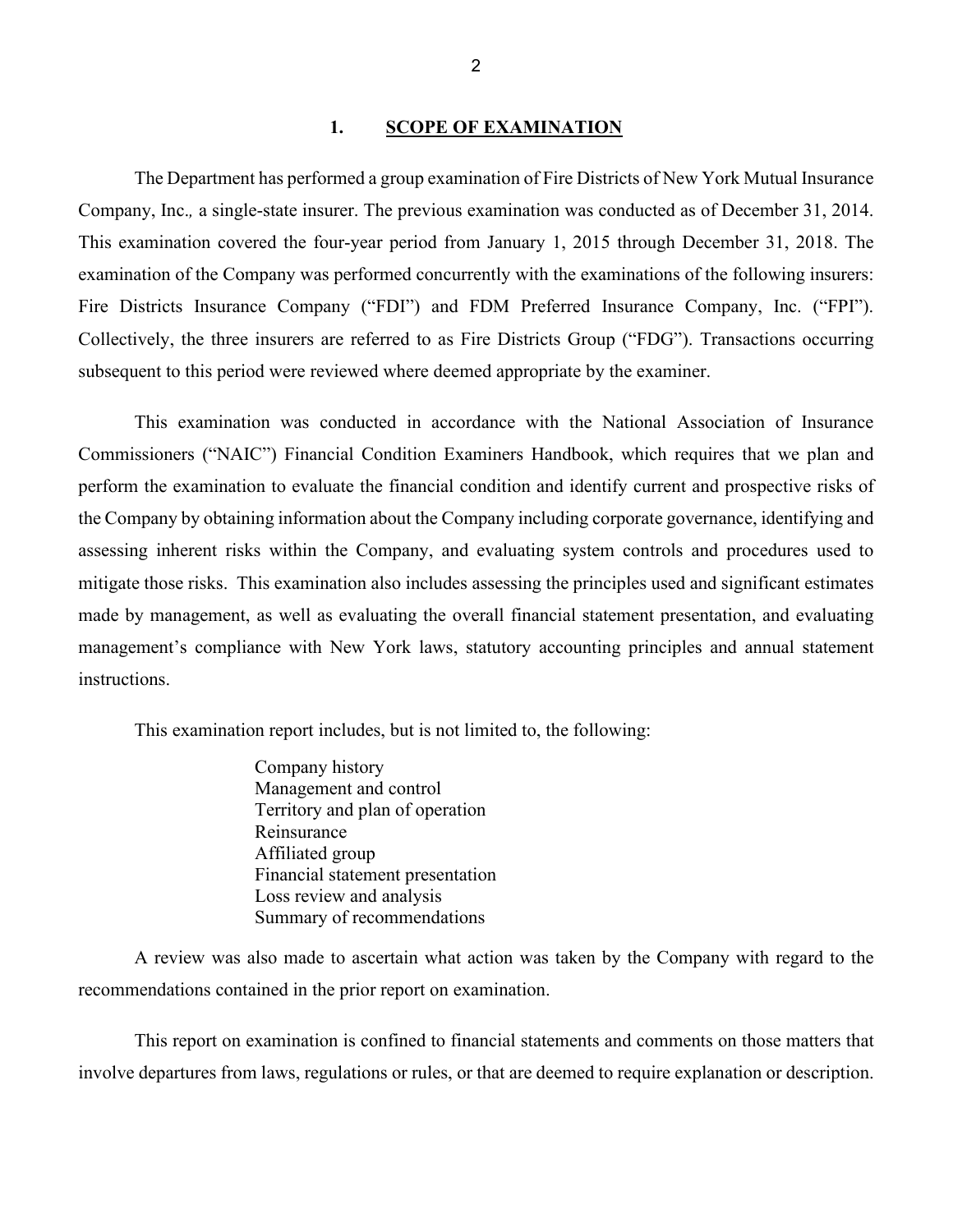#### 1. **SCOPE OF EXAMINATION**

 The Department has performed a group examination of Fire Districts of New York Mutual Insurance Fire Districts Insurance Company ("FDI") and FDM Preferred Insurance Company, Inc. ("FPI"). Company, Inc.*,* a single-state insurer. The previous examination was conducted as of December 31, 2014. This examination covered the four-year period from January 1, 2015 through December 31, 2018. The examination of the Company was performed concurrently with the examinations of the following insurers: Collectively, the three insurers are referred to as Fire Districts Group ("FDG"). Transactions occurring subsequent to this period were reviewed where deemed appropriate by the examiner.

 mitigate those risks. This examination also includes assessing the principles used and significant estimates instructions. This examination was conducted in accordance with the National Association of Insurance Commissioners ("NAIC") Financial Condition Examiners Handbook, which requires that we plan and perform the examination to evaluate the financial condition and identify current and prospective risks of the Company by obtaining information about the Company including corporate governance, identifying and assessing inherent risks within the Company, and evaluating system controls and procedures used to made by management, as well as evaluating the overall financial statement presentation, and evaluating management's compliance with New York laws, statutory accounting principles and annual statement

This examination report includes, but is not limited to, the following:

Company history Management and control Territory and plan of operation Reinsurance Affiliated group Financial statement presentation Loss review and analysis Summary of recommendations

A review was also made to ascertain what action was taken by the Company with regard to the recommendations contained in the prior report on examination.

This report on examination is confined to financial statements and comments on those matters that involve departures from laws, regulations or rules, or that are deemed to require explanation or description.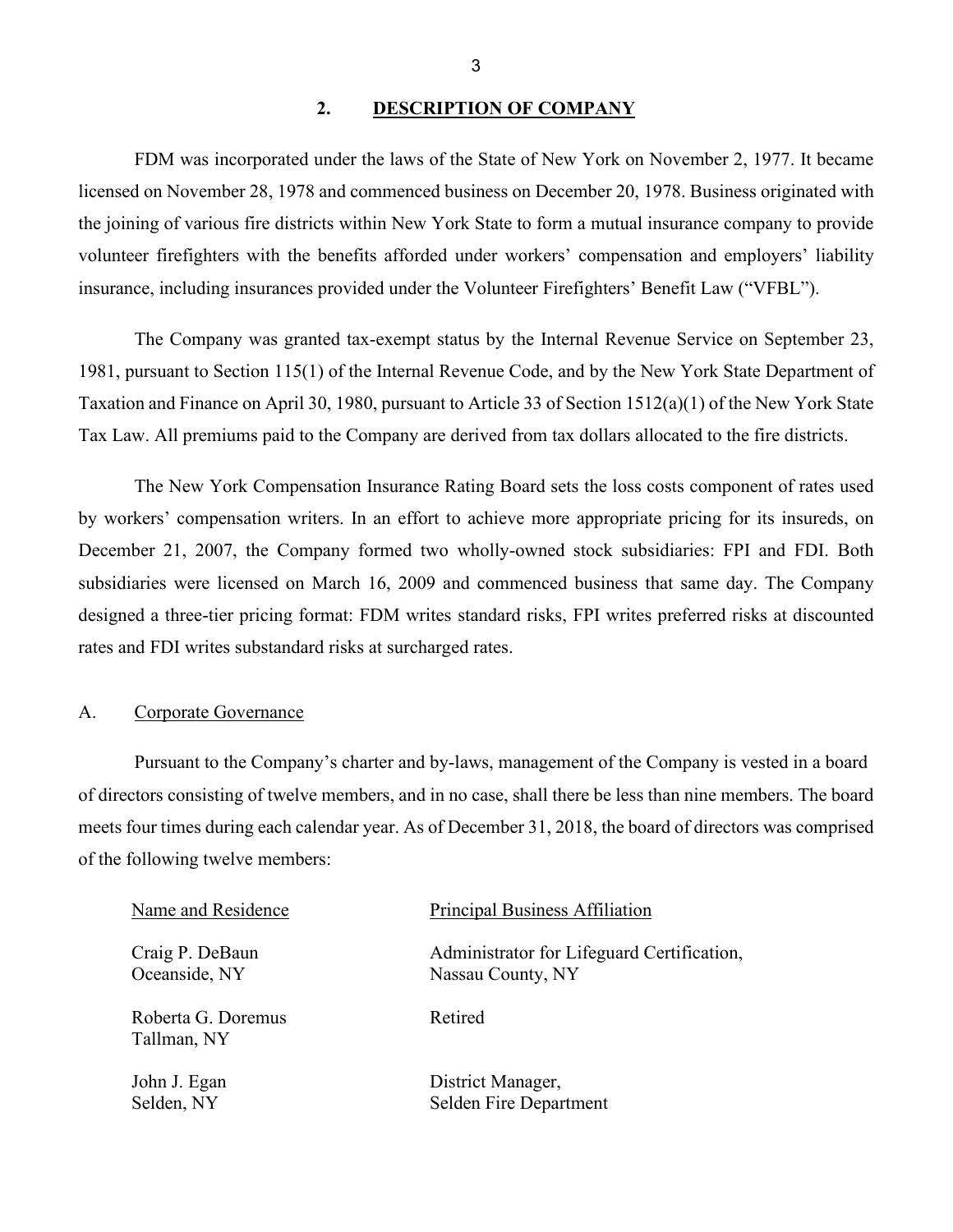### <span id="page-4-0"></span>**2. DESCRIPTION OF COMPANY**

 insurance, including insurances provided under the Volunteer Firefighters' Benefit Law ("VFBL"). FDM was incorporated under the laws of the State of New York on November 2, 1977. It became licensed on November 28, 1978 and commenced business on December 20, 1978. Business originated with the joining of various fire districts within New York State to form a mutual insurance company to provide volunteer firefighters with the benefits afforded under workers' compensation and employers' liability

 The Company was granted tax-exempt status by the Internal Revenue Service on September 23, 1981, pursuant to Section 115(1) of the Internal Revenue Code, and by the New York State Department of Taxation and Finance on April 30, 1980, pursuant to Article 33 of Section 1512(a)(1) of the New York State Tax Law. All premiums paid to the Company are derived from tax dollars allocated to the fire districts.

 rates and FDI writes substandard risks at surcharged rates. The New York Compensation Insurance Rating Board sets the loss costs component of rates used by workers' compensation writers. In an effort to achieve more appropriate pricing for its insureds, on December 21, 2007, the Company formed two wholly-owned stock subsidiaries: FPI and FDI. Both subsidiaries were licensed on March 16, 2009 and commenced business that same day. The Company designed a three-tier pricing format: FDM writes standard risks, FPI writes preferred risks at discounted

#### <span id="page-4-1"></span>A. Corporate Governance

Pursuant to the Company's charter and by-laws, management of the Company is vested in a board of the following twelve members: of directors consisting of twelve members, and in no case, shall there be less than nine members. The board meets four times during each calendar year. As of December 31, 2018, the board of directors was comprised

| Name and Residence                | Principal Business Affiliation             |
|-----------------------------------|--------------------------------------------|
| Craig P. DeBaun                   | Administrator for Lifeguard Certification, |
| Oceanside, NY                     | Nassau County, NY                          |
| Roberta G. Doremus<br>Tallman, NY | Retired                                    |
| John J. Egan                      | District Manager,                          |
| Selden, NY                        | Selden Fire Department                     |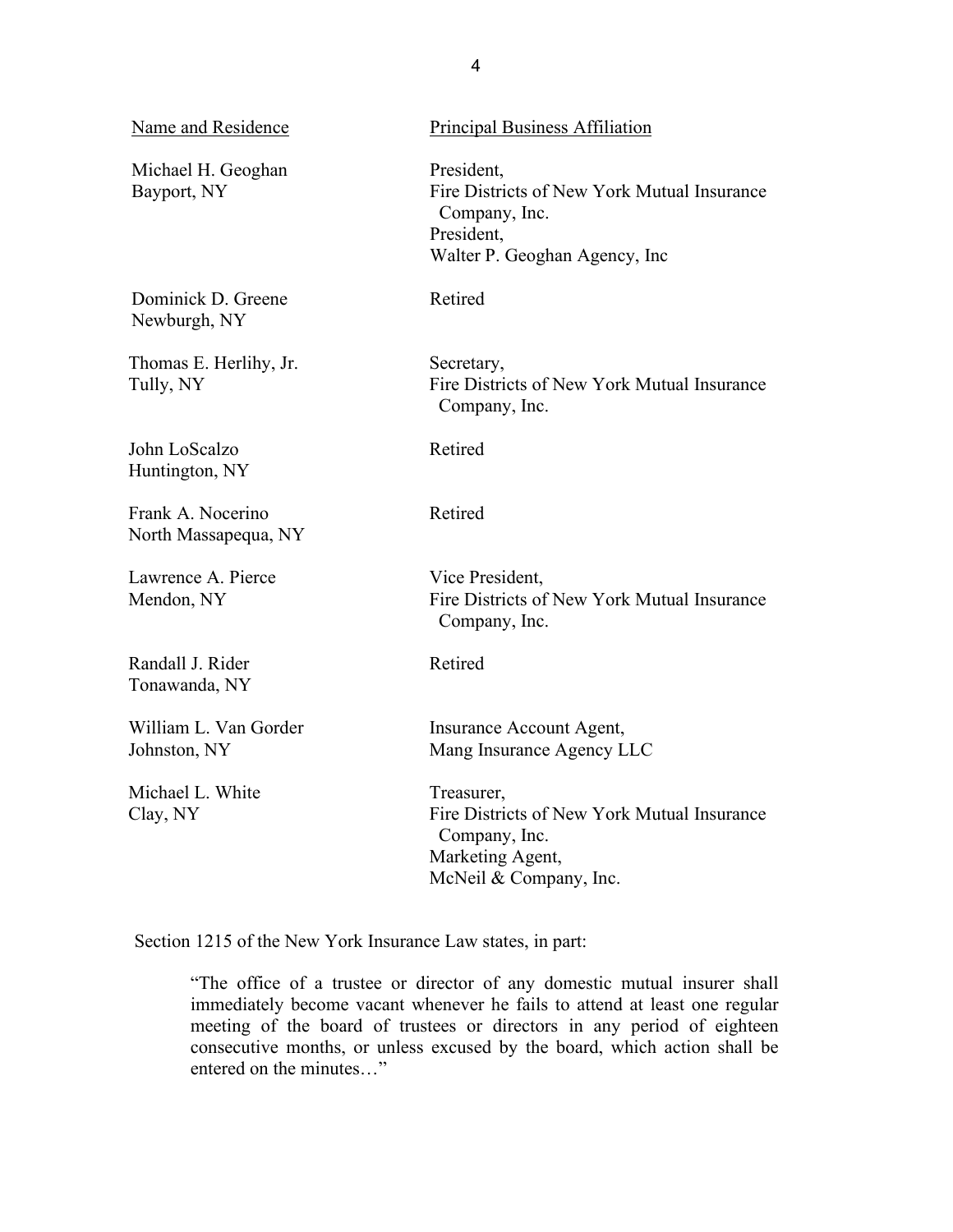| Name and Residence                        | <b>Principal Business Affiliation</b>                                                                                      |
|-------------------------------------------|----------------------------------------------------------------------------------------------------------------------------|
| Michael H. Geoghan<br>Bayport, NY         | President,<br>Fire Districts of New York Mutual Insurance<br>Company, Inc.<br>President,<br>Walter P. Geoghan Agency, Inc. |
| Dominick D. Greene<br>Newburgh, NY        | Retired                                                                                                                    |
| Thomas E. Herlihy, Jr.<br>Tully, NY       | Secretary,<br>Fire Districts of New York Mutual Insurance<br>Company, Inc.                                                 |
| John LoScalzo<br>Huntington, NY           | Retired                                                                                                                    |
| Frank A. Nocerino<br>North Massapequa, NY | Retired                                                                                                                    |
| Lawrence A. Pierce<br>Mendon, NY          | Vice President,<br>Fire Districts of New York Mutual Insurance<br>Company, Inc.                                            |
| Randall J. Rider<br>Tonawanda, NY         | Retired                                                                                                                    |
| William L. Van Gorder<br>Johnston, NY     | Insurance Account Agent,<br>Mang Insurance Agency LLC                                                                      |
| Michael L. White<br>Clay, NY              | Treasurer,<br>Fire Districts of New York Mutual Insurance<br>Company, Inc.<br>Marketing Agent,<br>McNeil & Company, Inc.   |

Section 1215 of the New York Insurance Law states, in part:

"The office of a trustee or director of any domestic mutual insurer shall immediately become vacant whenever he fails to attend at least one regular meeting of the board of trustees or directors in any period of eighteen consecutive months, or unless excused by the board, which action shall be entered on the minutes…"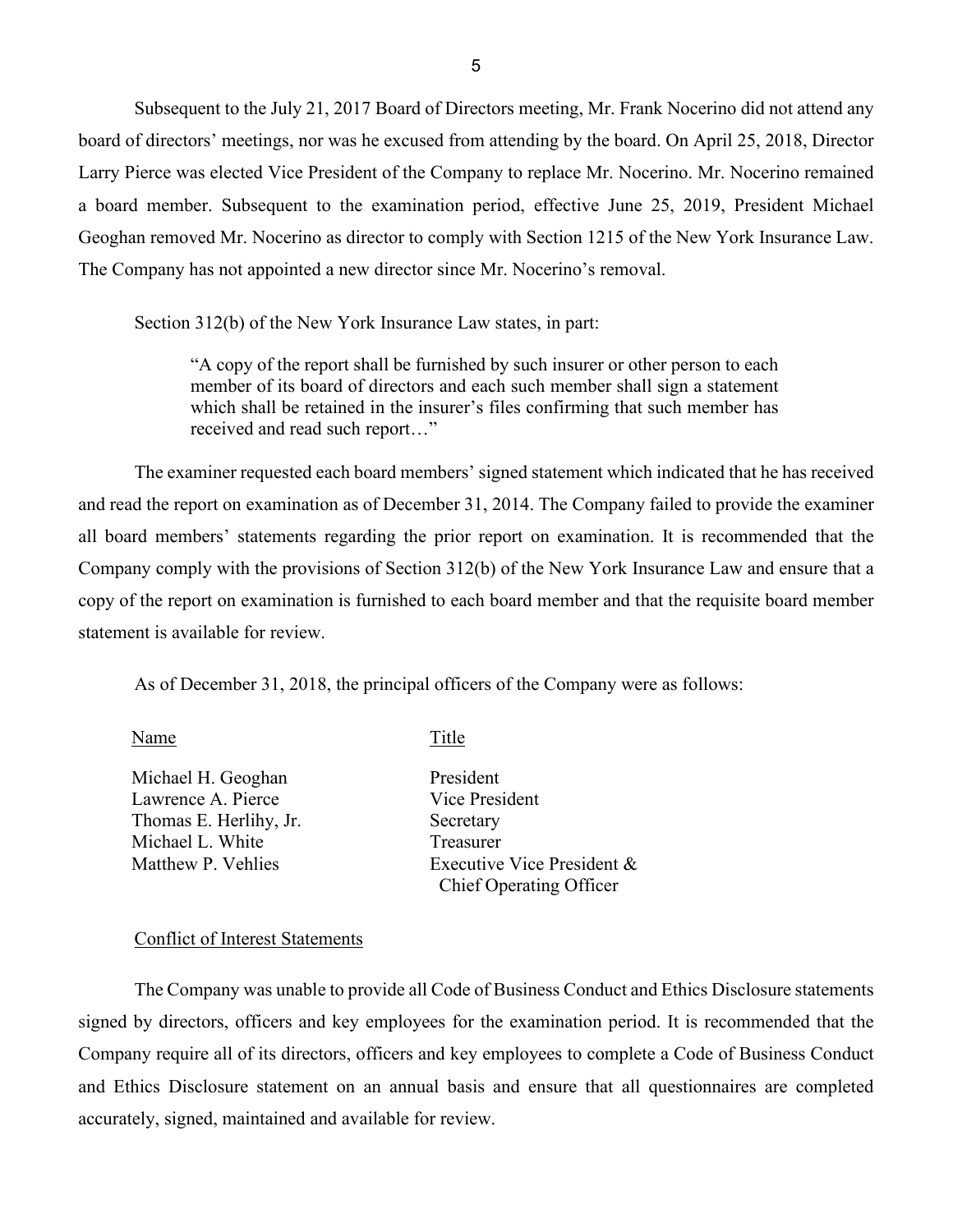board of directors' meetings, nor was he excused from attending by the board. On April 25, 2018, Director Geoghan removed Mr. Nocerino as director to comply with Section 1215 of the New York Insurance Law. The Company has not appointed a new director since Mr. Nocerino's removal. Subsequent to the July 21, 2017 Board of Directors meeting, Mr. Frank Nocerino did not attend any Larry Pierce was elected Vice President of the Company to replace Mr. Nocerino. Mr. Nocerino remained a board member. Subsequent to the examination period, effective June 25, 2019, President Michael

Section 312(b) of the New York Insurance Law states, in part:

 which shall be retained in the insurer's files confirming that such member has "A copy of the report shall be furnished by such insurer or other person to each member of its board of directors and each such member shall sign a statement received and read such report…"

<span id="page-6-0"></span> and read the report on examination as of December 31, 2014. The Company failed to provide the examiner copy of the report on examination is furnished to each board member and that the requisite board member statement is available for review. The examiner requested each board members' signed statement which indicated that he has received all board members' statements regarding the prior report on examination. It is recommended that the Company comply with the provisions of Section 312(b) of the New York Insurance Law and ensure that a

As of December 31, 2018, the principal officers of the Company were as follows:

Name Title

Michael H. Geoghan Lawrence A. Pierce Thomas E. Herlihy, Jr. Michael L. White Matthew P. Vehlies

President Vice President Secretary Treasurer Executive Vice President & Chief Operating Officer

#### <span id="page-6-1"></span>Conflict of Interest Statements

 and Ethics Disclosure statement on an annual basis and ensure that all questionnaires are completed The Company was unable to provide all Code of Business Conduct and Ethics Disclosure statements signed by directors, officers and key employees for the examination period. It is recommended that the Company require all of its directors, officers and key employees to complete a Code of Business Conduct accurately, signed, maintained and available for review.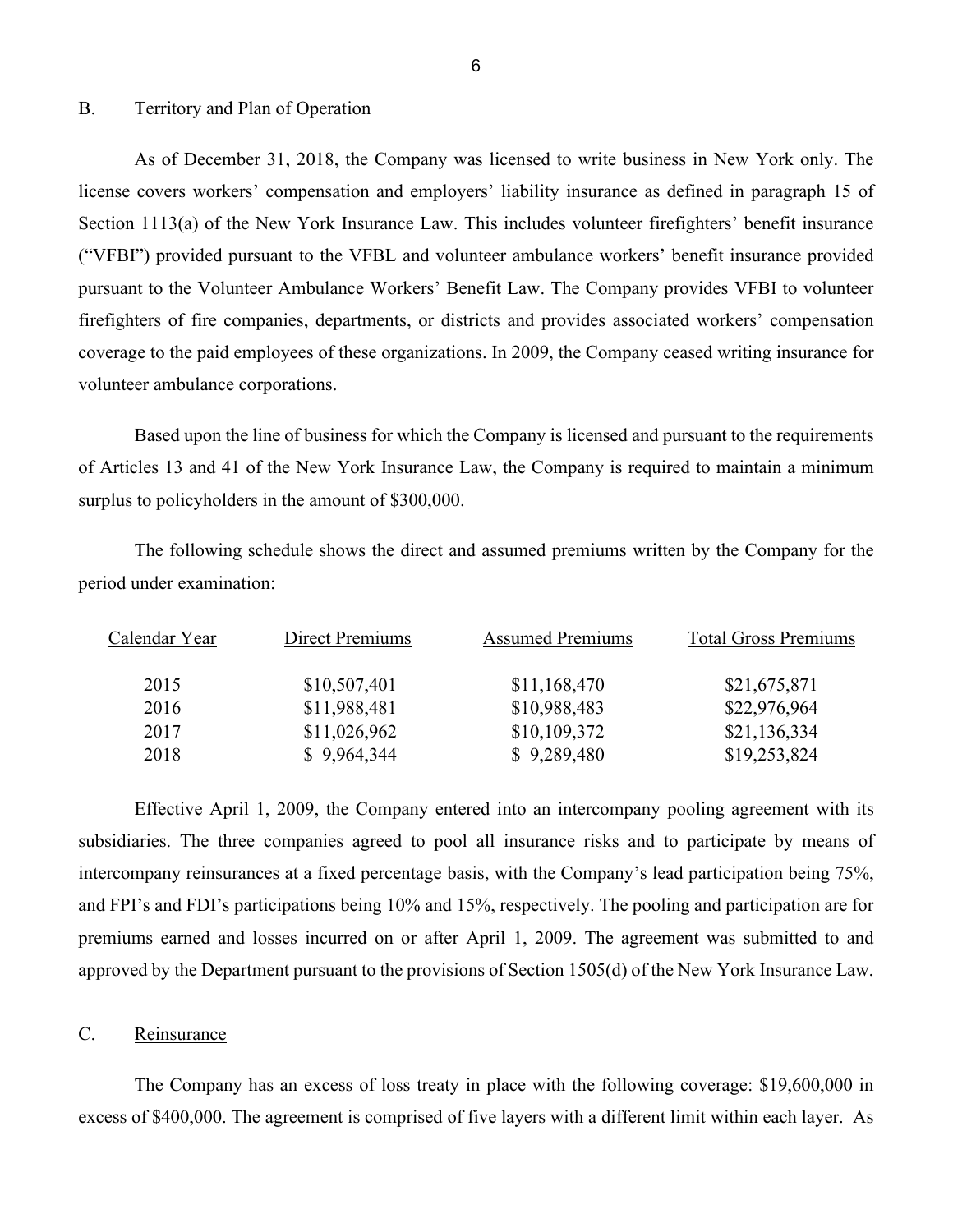#### <span id="page-7-0"></span>B. Territory and Plan of Operation

As of December 31, 2018, the Company was licensed to write business in New York only. The license covers workers' compensation and employers' liability insurance as defined in paragraph 15 of Section 1113(a) of the New York Insurance Law. This includes volunteer firefighters' benefit insurance ("VFBI") provided pursuant to the VFBL and volunteer ambulance workers' benefit insurance provided pursuant to the Volunteer Ambulance Workers' Benefit Law. The Company provides VFBI to volunteer firefighters of fire companies, departments, or districts and provides associated workers' compensation coverage to the paid employees of these organizations. In 2009, the Company ceased writing insurance for volunteer ambulance corporations.

 of Articles 13 and 41 of the New York Insurance Law, the Company is required to maintain a minimum Based upon the line of business for which the Company is licensed and pursuant to the requirements surplus to policyholders in the amount of \$300,000.

The following schedule shows the direct and assumed premiums written by the Company for the period under examination:

| Calendar Year | Direct Premiums | <b>Assumed Premiums</b> | <b>Total Gross Premiums</b> |
|---------------|-----------------|-------------------------|-----------------------------|
| 2015          | \$10,507,401    | \$11,168,470            | \$21,675,871                |
| 2016          | \$11,988,481    | \$10,988,483            | \$22,976,964                |
| 2017          | \$11,026,962    | \$10,109,372            | \$21,136,334                |
| 2018          | \$9,964,344     | \$9,289,480             | \$19,253,824                |

 Effective April 1, 2009, the Company entered into an intercompany pooling agreement with its approved by the Department pursuant to the provisions of Section 1505(d) of the New York Insurance Law. subsidiaries. The three companies agreed to pool all insurance risks and to participate by means of intercompany reinsurances at a fixed percentage basis, with the Company's lead participation being 75%, and FPI's and FDI's participations being 10% and 15%, respectively. The pooling and participation are for premiums earned and losses incurred on or after April 1, 2009. The agreement was submitted to and

## <span id="page-7-1"></span>Reinsurance

 excess of \$400,000. The agreement is comprised of five layers with a different limit within each layer. As c. Reinsurance<br>The Company has an excess of loss treaty in place with the following coverage: \$19,600,000 in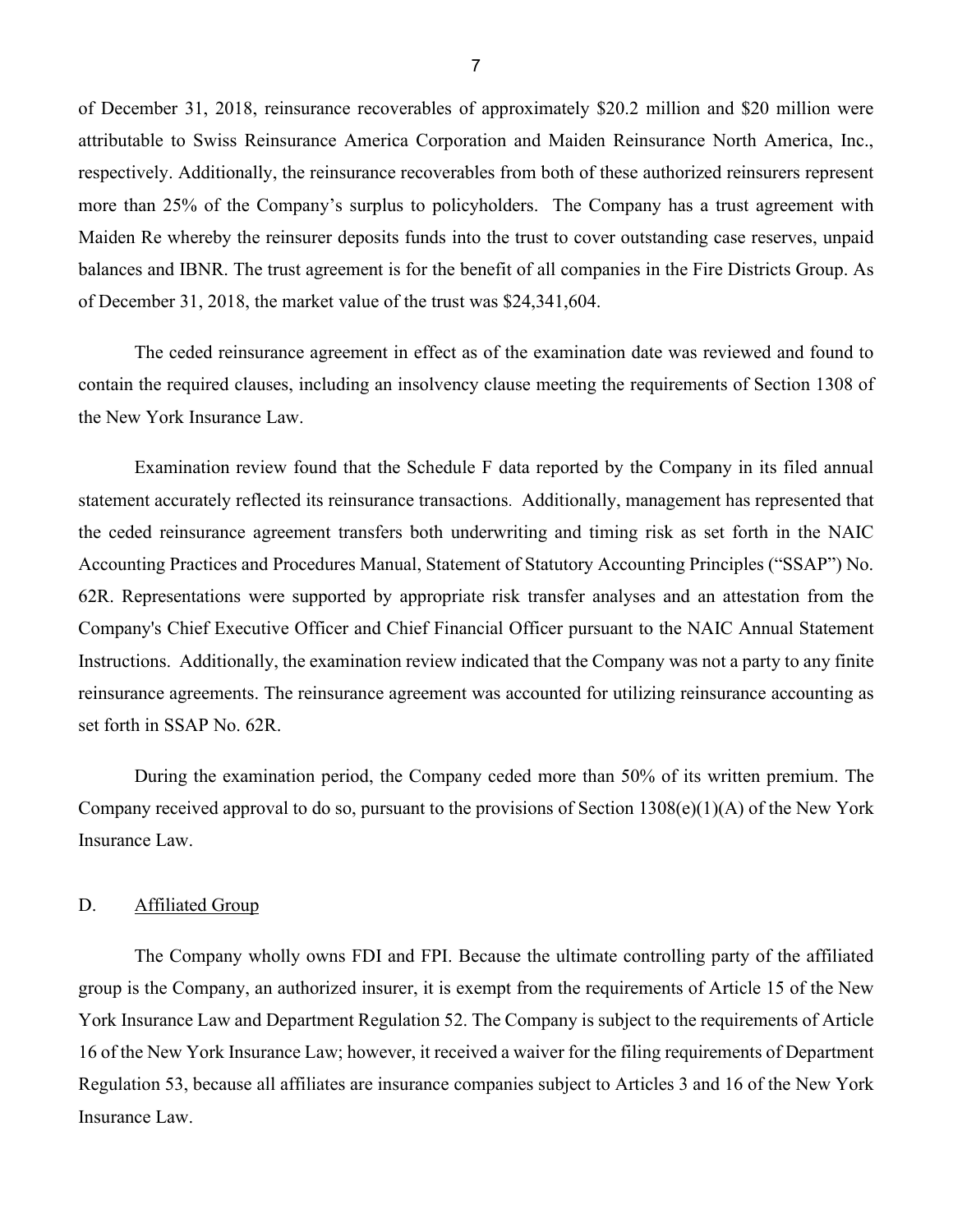of December 31, 2018, reinsurance recoverables of approximately \$20.2 million and \$20 million were respectively. Additionally, the reinsurance recoverables from both of these authorized reinsurers represent attributable to Swiss Reinsurance America Corporation and Maiden Reinsurance North America, Inc., more than 25% of the Company's surplus to policyholders. The Company has a trust agreement with Maiden Re whereby the reinsurer deposits funds into the trust to cover outstanding case reserves, unpaid balances and IBNR. The trust agreement is for the benefit of all companies in the Fire Districts Group. As of December 31, 2018, the market value of the trust was \$24,341,604.

 The ceded reinsurance agreement in effect as of the examination date was reviewed and found to contain the required clauses, including an insolvency clause meeting the requirements of Section 1308 of the New York Insurance Law.

 Examination review found that the Schedule F data reported by the Company in its filed annual statement accurately reflected its reinsurance transactions. Additionally, management has represented that the ceded reinsurance agreement transfers both underwriting and timing risk as set forth in the NAIC 62R. Representations were supported by appropriate risk transfer analyses and an attestation from the set forth in SSAP No. 62R. Accounting Practices and Procedures Manual, Statement of Statutory Accounting Principles ("SSAP") No. Company's Chief Executive Officer and Chief Financial Officer pursuant to the NAIC Annual Statement Instructions. Additionally, the examination review indicated that the Company was not a party to any finite reinsurance agreements. The reinsurance agreement was accounted for utilizing reinsurance accounting as

During the examination period, the Company ceded more than 50% of its written premium. The Company received approval to do so, pursuant to the provisions of Section 1308(e)(1)(A) of the New York Insurance Law.

#### <span id="page-8-0"></span>D. Affiliated Group

 York Insurance Law and Department Regulation 52. The Company is subject to the requirements of Article The Company wholly owns FDI and FPI. Because the ultimate controlling party of the affiliated group is the Company, an authorized insurer, it is exempt from the requirements of Article 15 of the New 16 of the New York Insurance Law; however, it received a waiver for the filing requirements of Department Regulation 53, because all affiliates are insurance companies subject to Articles 3 and 16 of the New York Insurance Law.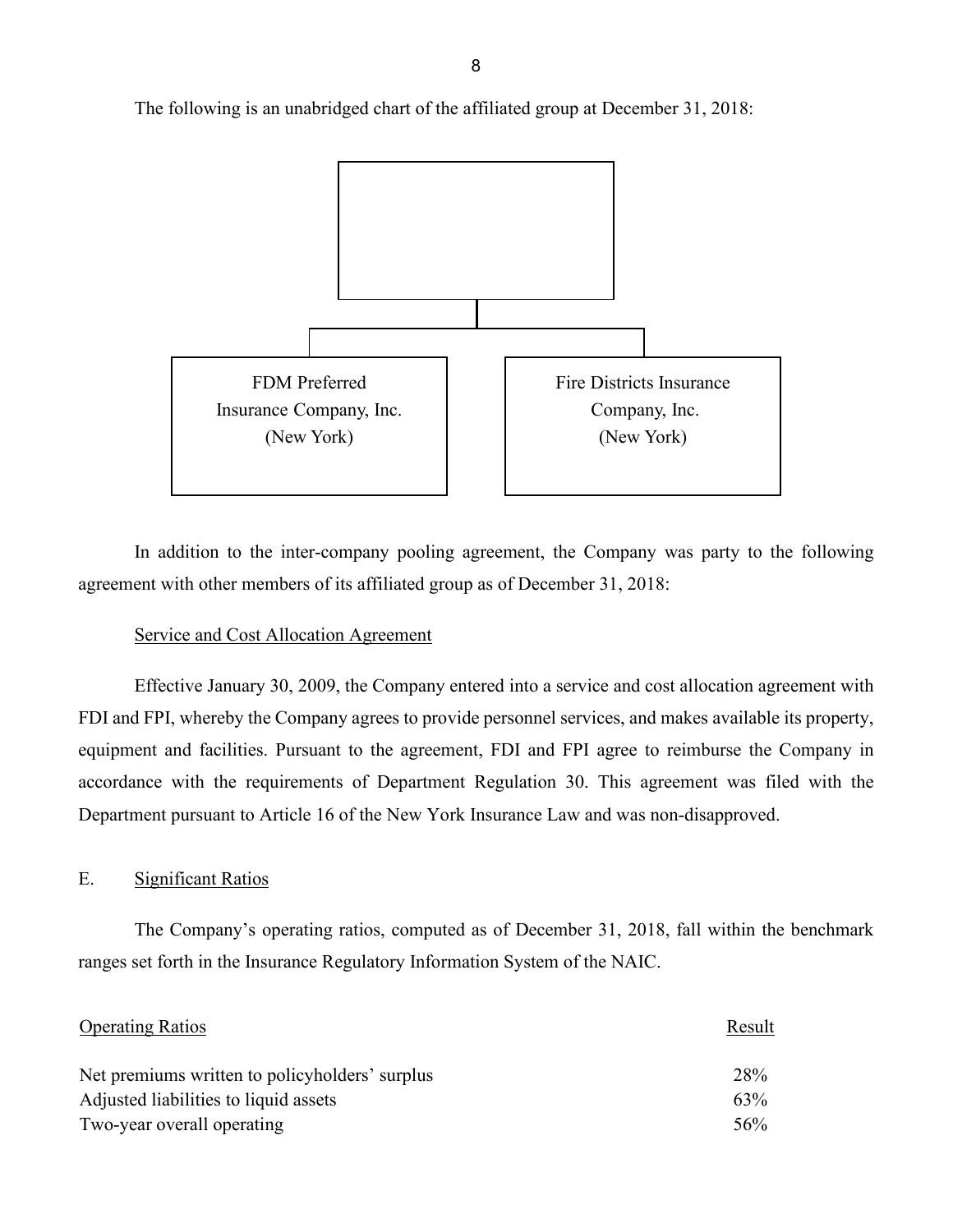

The following is an unabridged chart of the affiliated group at December 31, 2018:

In addition to the inter-company pooling agreement, the Company was party to the following agreement with other members of its affiliated group as of December 31, 2018:

## Service and Cost Allocation Agreement

 equipment and facilities. Pursuant to the agreement, FDI and FPI agree to reimburse the Company in Effective January 30, 2009, the Company entered into a service and cost allocation agreement with FDI and FPI, whereby the Company agrees to provide personnel services, and makes available its property, accordance with the requirements of Department Regulation 30. This agreement was filed with the Department pursuant to Article 16 of the New York Insurance Law and was non-disapproved.

#### <span id="page-9-0"></span>**Significant Ratios**

 ranges set forth in the Insurance Regulatory Information System of the NAIC. E. Significant Ratios<br>The Company's operating ratios, computed as of December 31, 2018, fall within the benchmark

| <b>Operating Ratios</b>                        | Result |
|------------------------------------------------|--------|
| Net premiums written to policyholders' surplus | 28%    |
| Adjusted liabilities to liquid assets          | 63%    |
| Two-year overall operating                     | 56%    |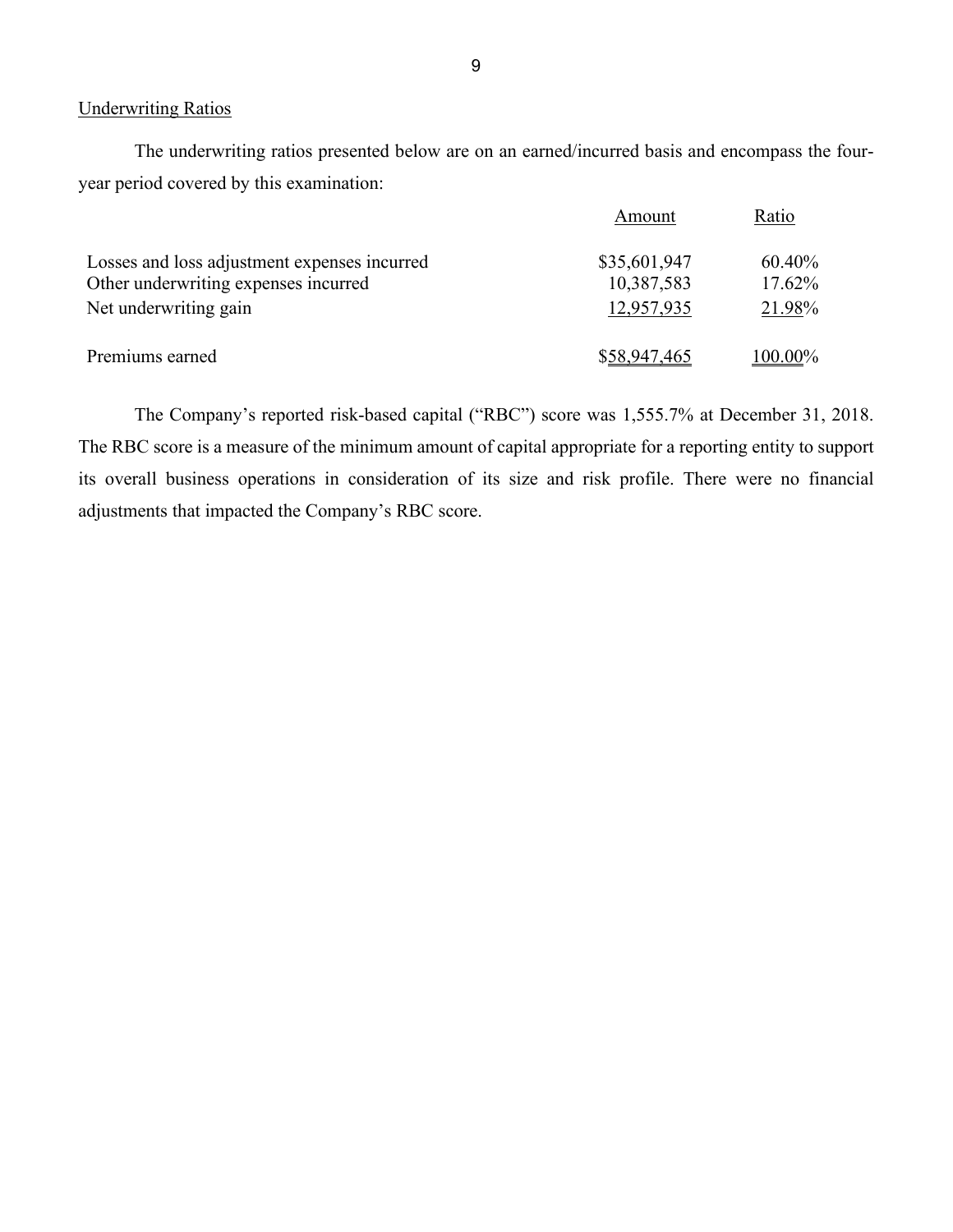#### Underwriting Ratios

 The underwriting ratios presented below are on an earned/incurred basis and encompass the fouryear period covered by this examination:

|                                              | Amount       | Ratio   |
|----------------------------------------------|--------------|---------|
| Losses and loss adjustment expenses incurred | \$35,601,947 | 60.40%  |
| Other underwriting expenses incurred         | 10,387,583   | 17.62%  |
| Net underwriting gain                        | 12,957,935   | 21.98%  |
| Premiums earned                              | \$58,947,465 | 100.00% |

 The RBC score is a measure of the minimum amount of capital appropriate for a reporting entity to support The Company's reported risk-based capital ("RBC") score was 1,555.7% at December 31, 2018. its overall business operations in consideration of its size and risk profile. There were no financial adjustments that impacted the Company's RBC score.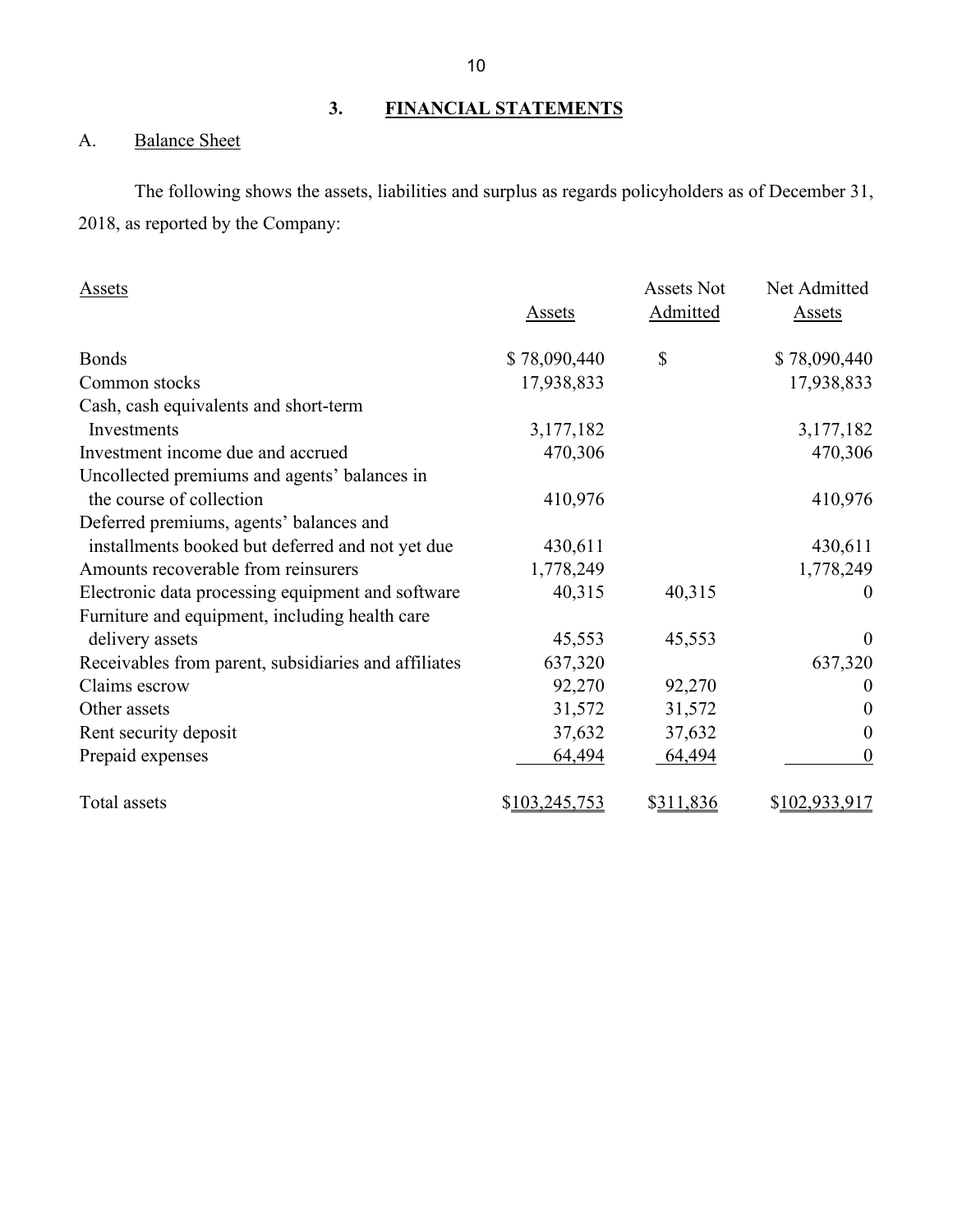## <span id="page-11-0"></span>**3. FINANCIAL STATEMENTS**

## <span id="page-11-1"></span>A. Balance Sheet

 2018, as reported by the Company: The following shows the assets, liabilities and surplus as regards policyholders as of December 31,

| Assets                                               |               | Assets Not | Net Admitted     |
|------------------------------------------------------|---------------|------------|------------------|
|                                                      | Assets        | Admitted   | Assets           |
| <b>Bonds</b>                                         | \$78,090,440  | \$         | \$78,090,440     |
| Common stocks                                        | 17,938,833    |            | 17,938,833       |
| Cash, cash equivalents and short-term                |               |            |                  |
| Investments                                          | 3,177,182     |            | 3,177,182        |
| Investment income due and accrued                    | 470,306       |            | 470,306          |
| Uncollected premiums and agents' balances in         |               |            |                  |
| the course of collection                             | 410,976       |            | 410,976          |
| Deferred premiums, agents' balances and              |               |            |                  |
| installments booked but deferred and not yet due     | 430,611       |            | 430,611          |
| Amounts recoverable from reinsurers                  | 1,778,249     |            | 1,778,249        |
| Electronic data processing equipment and software    | 40,315        | 40,315     | $\Omega$         |
| Furniture and equipment, including health care       |               |            |                  |
| delivery assets                                      | 45,553        | 45,553     | $\overline{0}$   |
| Receivables from parent, subsidiaries and affiliates | 637,320       |            | 637,320          |
| Claims escrow                                        | 92,270        | 92,270     | $\boldsymbol{0}$ |
| Other assets                                         | 31,572        | 31,572     | $\theta$         |
| Rent security deposit                                | 37,632        | 37,632     | $\boldsymbol{0}$ |
| Prepaid expenses                                     | 64,494        | 64,494     | $\boldsymbol{0}$ |
| Total assets                                         | \$103,245,753 | \$311,836  | \$102,933,917    |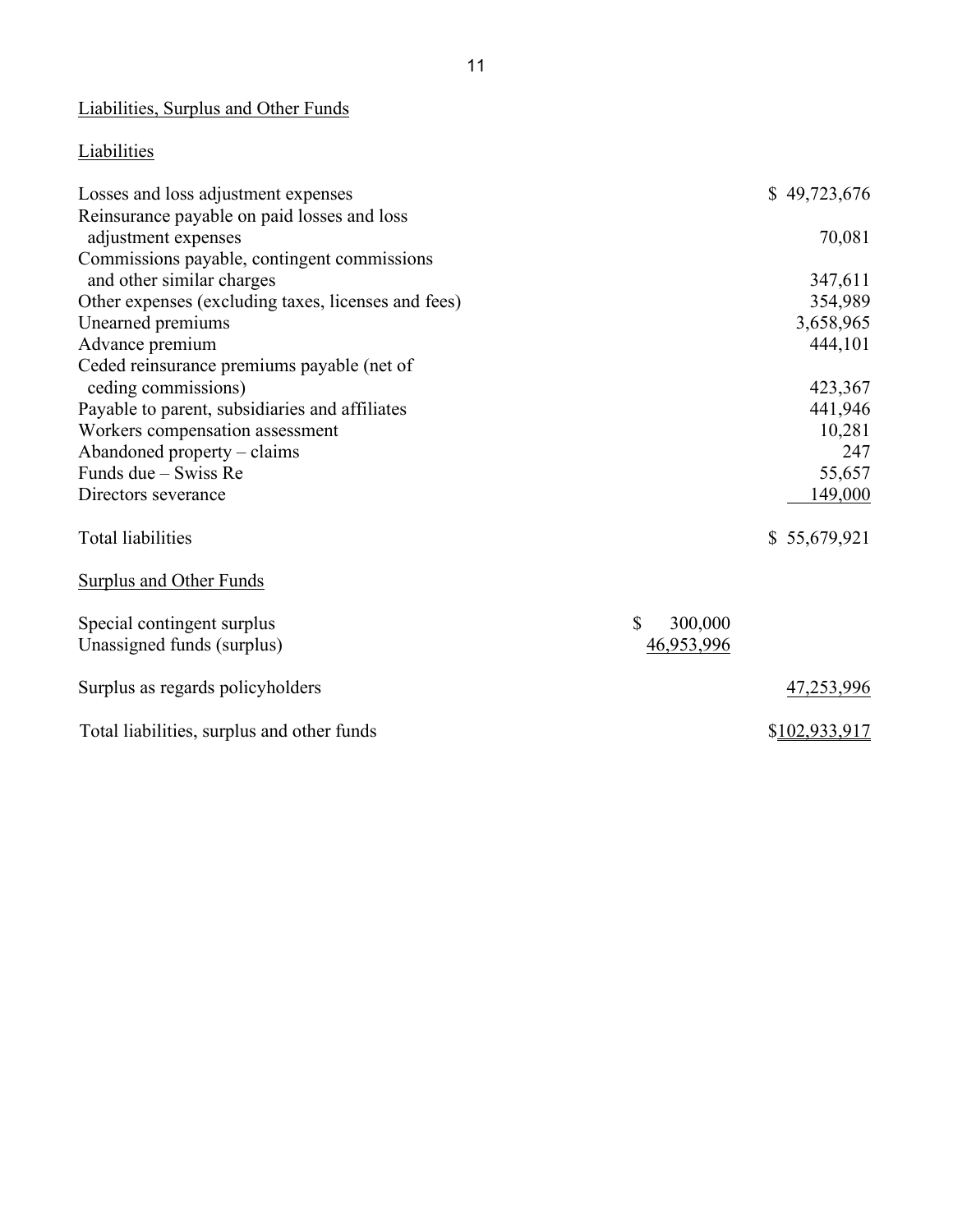## Liabilities, Surplus and Other Funds

## **Liabilities**

| Losses and loss adjustment expenses                 | \$49,723,676  |
|-----------------------------------------------------|---------------|
| Reinsurance payable on paid losses and loss         |               |
| adjustment expenses                                 | 70,081        |
| Commissions payable, contingent commissions         |               |
| and other similar charges                           | 347,611       |
| Other expenses (excluding taxes, licenses and fees) | 354,989       |
| Unearned premiums                                   | 3,658,965     |
| Advance premium                                     | 444,101       |
| Ceded reinsurance premiums payable (net of          |               |
| ceding commissions)                                 | 423,367       |
| Payable to parent, subsidiaries and affiliates      | 441,946       |
| Workers compensation assessment                     | 10,281        |
| Abandoned property – claims                         | 247           |
| Funds due – Swiss Re                                | 55,657        |
| Directors severance                                 | 149,000       |
| Total liabilities                                   | \$55,679,921  |
| <b>Surplus and Other Funds</b>                      |               |
| Special contingent surplus                          | \$<br>300,000 |
| Unassigned funds (surplus)                          | 46,953,996    |
| Surplus as regards policyholders                    | 47,253,996    |
| Total liabilities, surplus and other funds          | \$102,933,917 |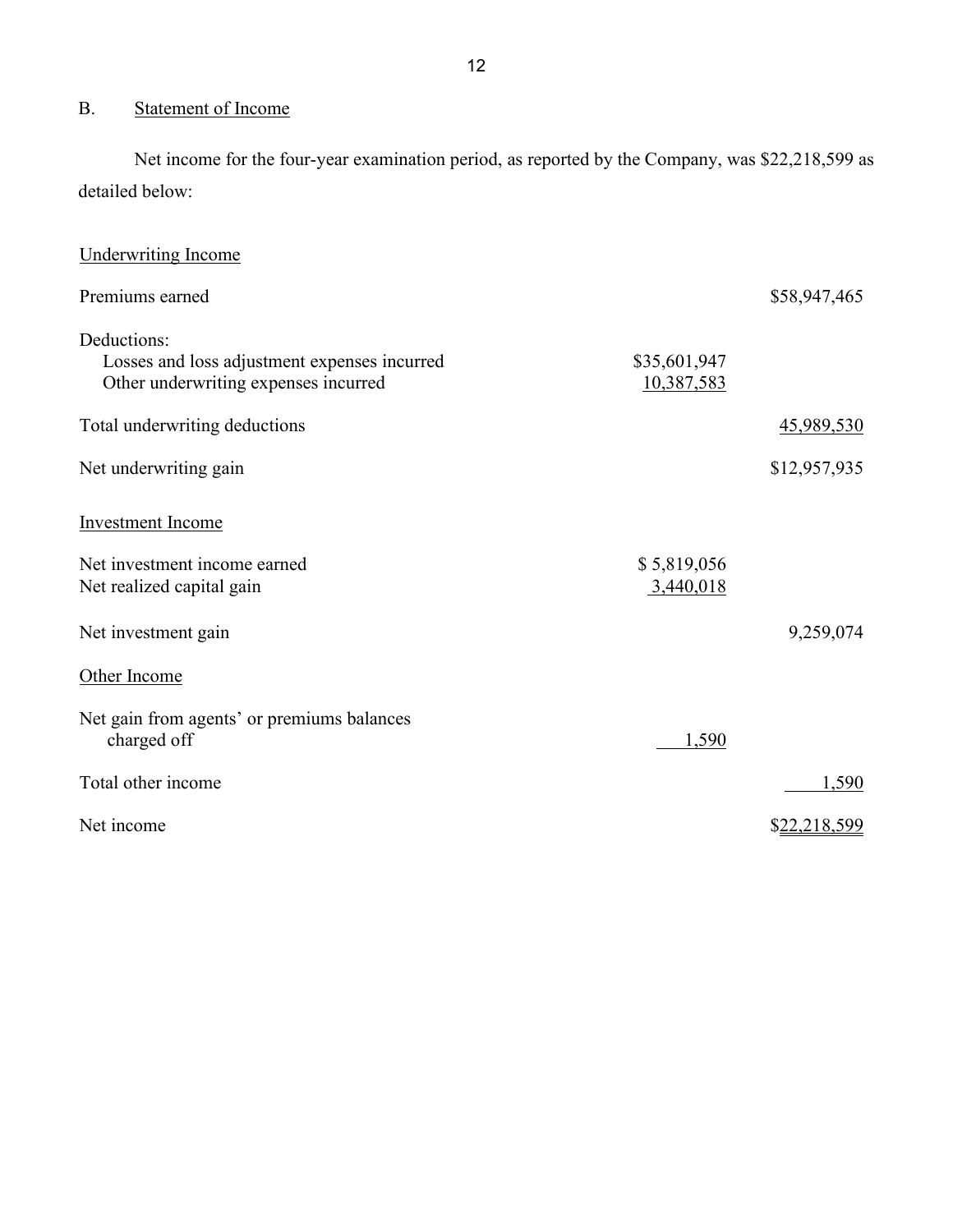## <span id="page-13-0"></span>B. Statement of Income

 Net income for the four-year examination period, as reported by the Company, was \$22,218,599 as detailed below:

| <b>Underwriting Income</b>                                                                          |                            |              |
|-----------------------------------------------------------------------------------------------------|----------------------------|--------------|
| Premiums earned                                                                                     |                            | \$58,947,465 |
| Deductions:<br>Losses and loss adjustment expenses incurred<br>Other underwriting expenses incurred | \$35,601,947<br>10,387,583 |              |
| Total underwriting deductions                                                                       |                            | 45,989,530   |
| Net underwriting gain                                                                               |                            | \$12,957,935 |
| <b>Investment Income</b>                                                                            |                            |              |
| Net investment income earned<br>Net realized capital gain                                           | \$5,819,056<br>3,440,018   |              |
| Net investment gain                                                                                 |                            | 9,259,074    |
| Other Income                                                                                        |                            |              |
| Net gain from agents' or premiums balances<br>charged off                                           | 1,590                      |              |
| Total other income                                                                                  |                            | 1,590        |
| Net income                                                                                          |                            | \$22,218,599 |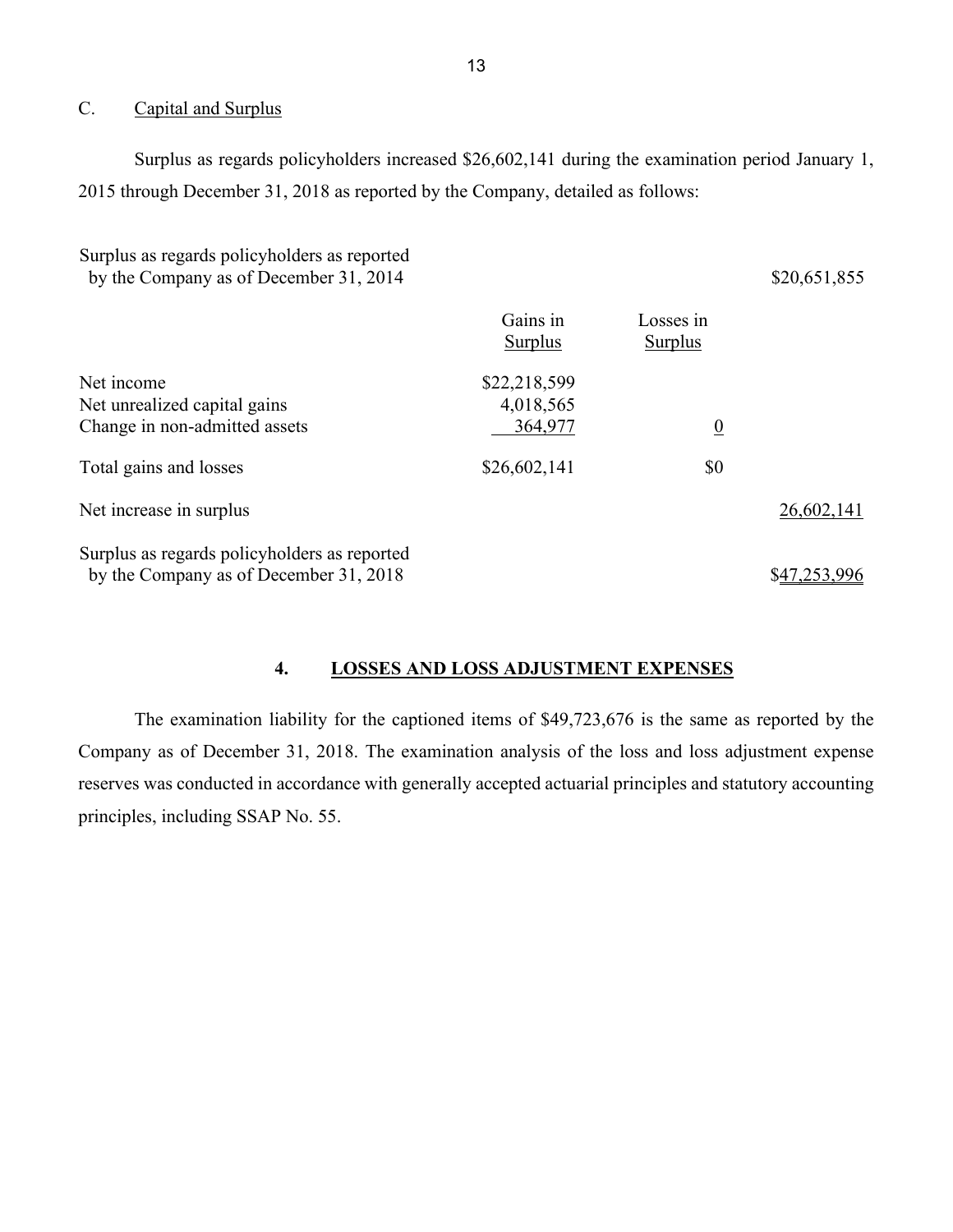## <span id="page-14-0"></span>C. Capital and Surplus

 Surplus as regards policyholders increased \$26,602,141 during the examination period January 1, 2015 through December 31, 2018 as reported by the Company, detailed as follows:

| Surplus as regards policyholders as reported<br>by the Company as of December 31, 2014 |                                      |                             | \$20,651,855 |
|----------------------------------------------------------------------------------------|--------------------------------------|-----------------------------|--------------|
|                                                                                        | Gains in<br>Surplus                  | Losses in<br><b>Surplus</b> |              |
| Net income<br>Net unrealized capital gains<br>Change in non-admitted assets            | \$22,218,599<br>4,018,565<br>364,977 | $\overline{0}$              |              |
| Total gains and losses                                                                 | \$26,602,141                         | \$0                         |              |
| Net increase in surplus                                                                |                                      |                             | 26,602,141   |
| Surplus as regards policyholders as reported<br>by the Company as of December 31, 2018 |                                      |                             | \$47,253,996 |

## <span id="page-14-1"></span>**4. LOSSES AND LOSS ADJUSTMENT EXPENSES**

The examination liability for the captioned items of \$49,723,676 is the same as reported by the Company as of December 31, 2018. The examination analysis of the loss and loss adjustment expense reserves was conducted in accordance with generally accepted actuarial principles and statutory accounting principles, including SSAP No. 55.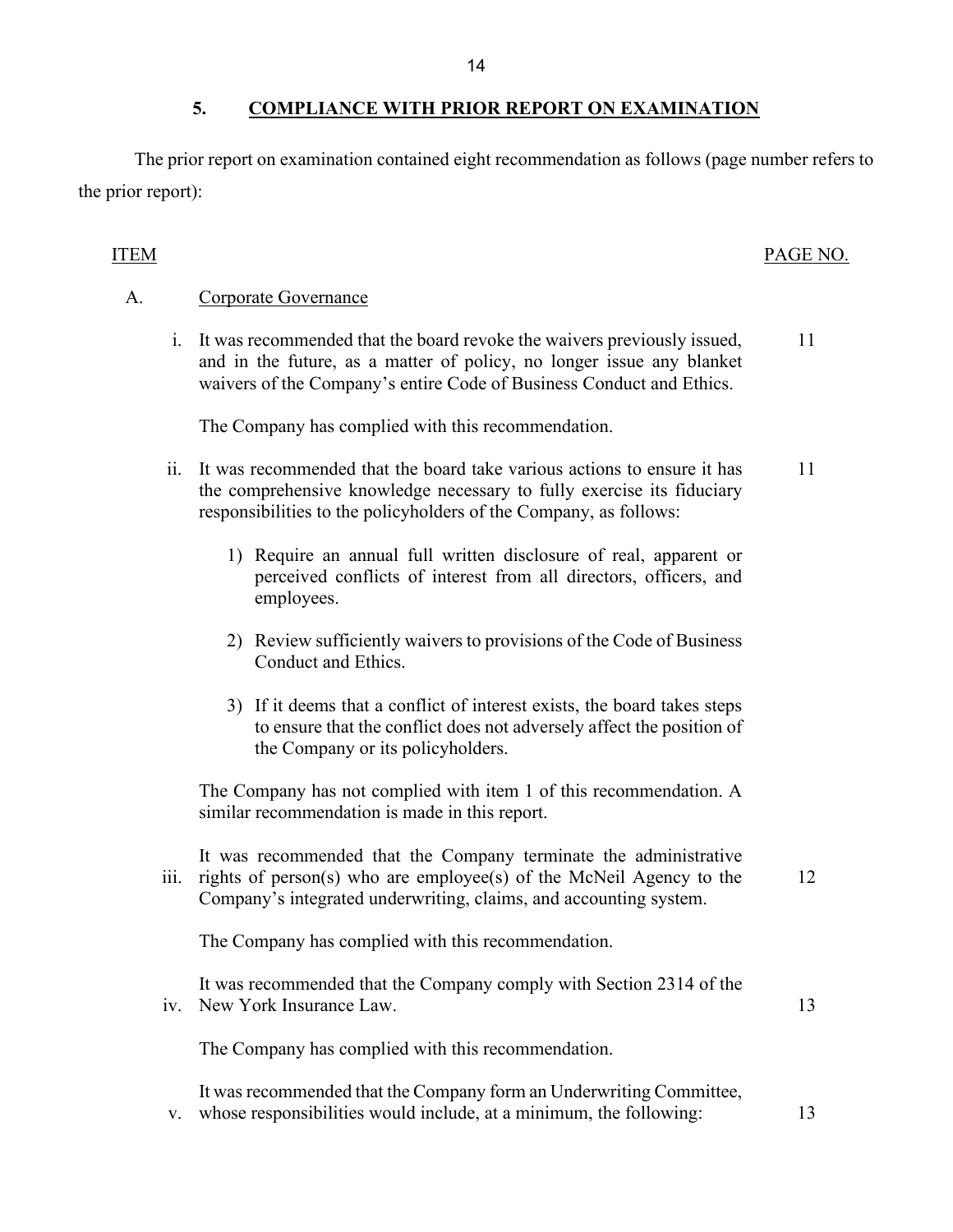## <span id="page-15-0"></span> **5. COMPLIANCE WITH PRIOR REPORT ON EXAMINATION**

The prior report on examination contained eight recommendation as follows (page number refers to the prior report):

## ITEM PAGE NO.

## A. Corporate Governance

i. It was recommended that the board revoke the waivers previously issued, 11 and in the future, as a matter of policy, no longer issue any blanket waivers of the Company's entire Code of Business Conduct and Ethics.

The Company has complied with this recommendation.

- responsibilities to the policyholders of the Company, as follows: ii. It was recommended that the board take various actions to ensure it has 11 the comprehensive knowledge necessary to fully exercise its fiduciary
	- perceived conflicts of interest from all directors, officers, and 1) Require an annual full written disclosure of real, apparent or employees.
	- 2) Review sufficiently waivers to provisions of the Code of Business Conduct and Ethics.
	- 3) If it deems that a conflict of interest exists, the board takes steps to ensure that the conflict does not adversely affect the position of the Company or its policyholders.

 similar recommendation is made in this report. The Company has not complied with item 1 of this recommendation. A

It was recommended that the Company terminate the administrative iii. rights of person(s) who are employee(s) of the McNeil Agency to the  $12$ Company's integrated underwriting, claims, and accounting system.

The Company has complied with this recommendation.

It was recommended that the Company comply with Section 2314 of the iv. New York Insurance Law. 13

The Company has complied with this recommendation.

It was recommended that the Company form an Underwriting Committee, v. whose responsibilities would include, at a minimum, the following: 13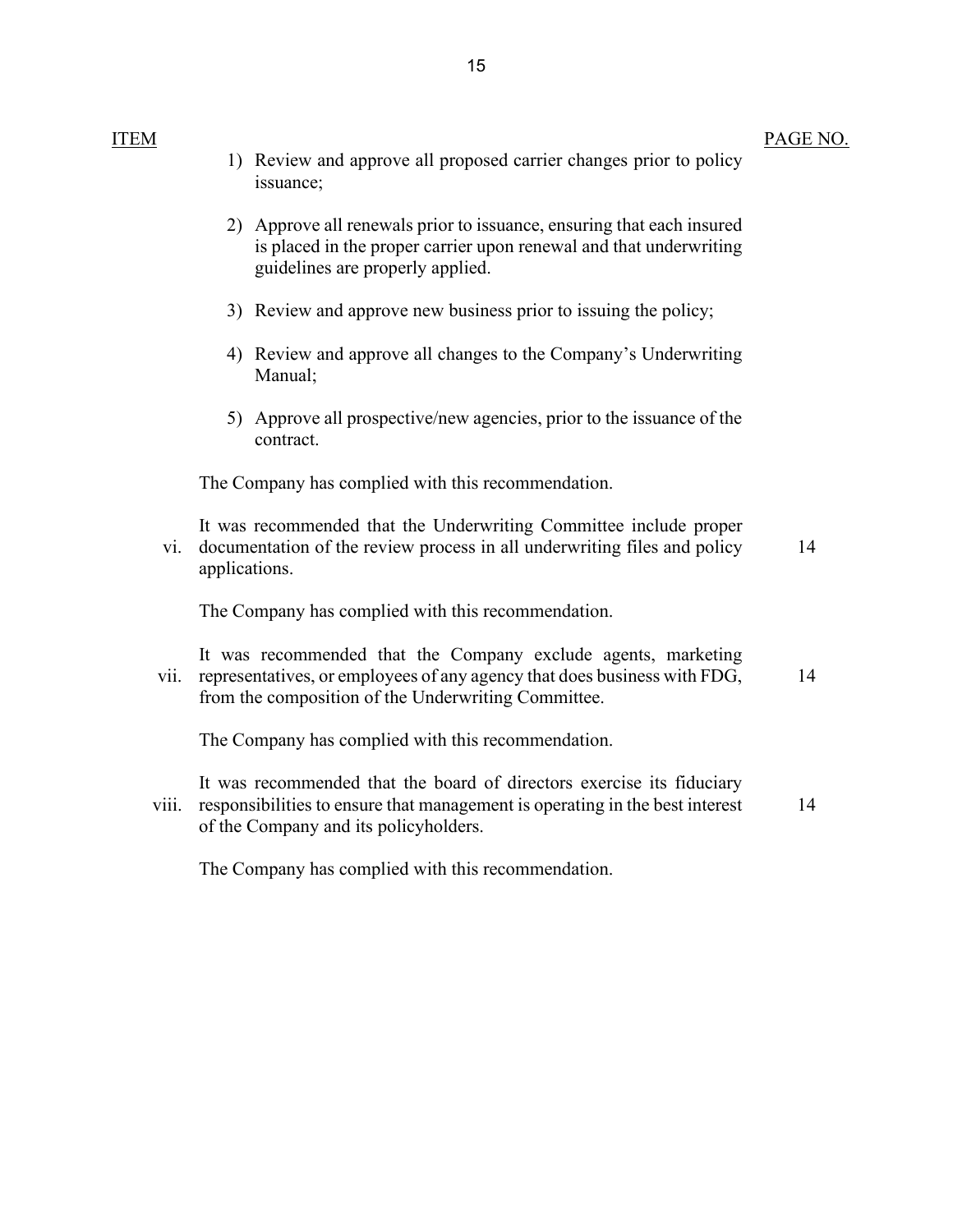ITEM

|  | a de la africa de 2000 de 1950 de 201 |  |
|--|---------------------------------------|--|

PAGE NO.

|       |               | 1) Review and approve all proposed carrier changes prior to policy<br>issuance;                                                                                                                  |    |
|-------|---------------|--------------------------------------------------------------------------------------------------------------------------------------------------------------------------------------------------|----|
|       |               | 2) Approve all renewals prior to issuance, ensuring that each insured<br>is placed in the proper carrier upon renewal and that underwriting<br>guidelines are properly applied.                  |    |
|       |               | 3) Review and approve new business prior to issuing the policy;                                                                                                                                  |    |
|       |               | 4) Review and approve all changes to the Company's Underwriting<br>Manual;                                                                                                                       |    |
|       |               | 5) Approve all prospective/new agencies, prior to the issuance of the<br>contract.                                                                                                               |    |
|       |               | The Company has complied with this recommendation.                                                                                                                                               |    |
| vi.   | applications. | It was recommended that the Underwriting Committee include proper<br>documentation of the review process in all underwriting files and policy                                                    | 14 |
|       |               | The Company has complied with this recommendation.                                                                                                                                               |    |
| vii.  |               | It was recommended that the Company exclude agents, marketing<br>representatives, or employees of any agency that does business with FDG,<br>from the composition of the Underwriting Committee. | 14 |
|       |               | The Company has complied with this recommendation.                                                                                                                                               |    |
| Viii. |               | It was recommended that the board of directors exercise its fiduciary<br>responsibilities to ensure that management is operating in the best interest<br>of the Company and its policyholders.   | 14 |
|       |               |                                                                                                                                                                                                  |    |

The Company has complied with this recommendation.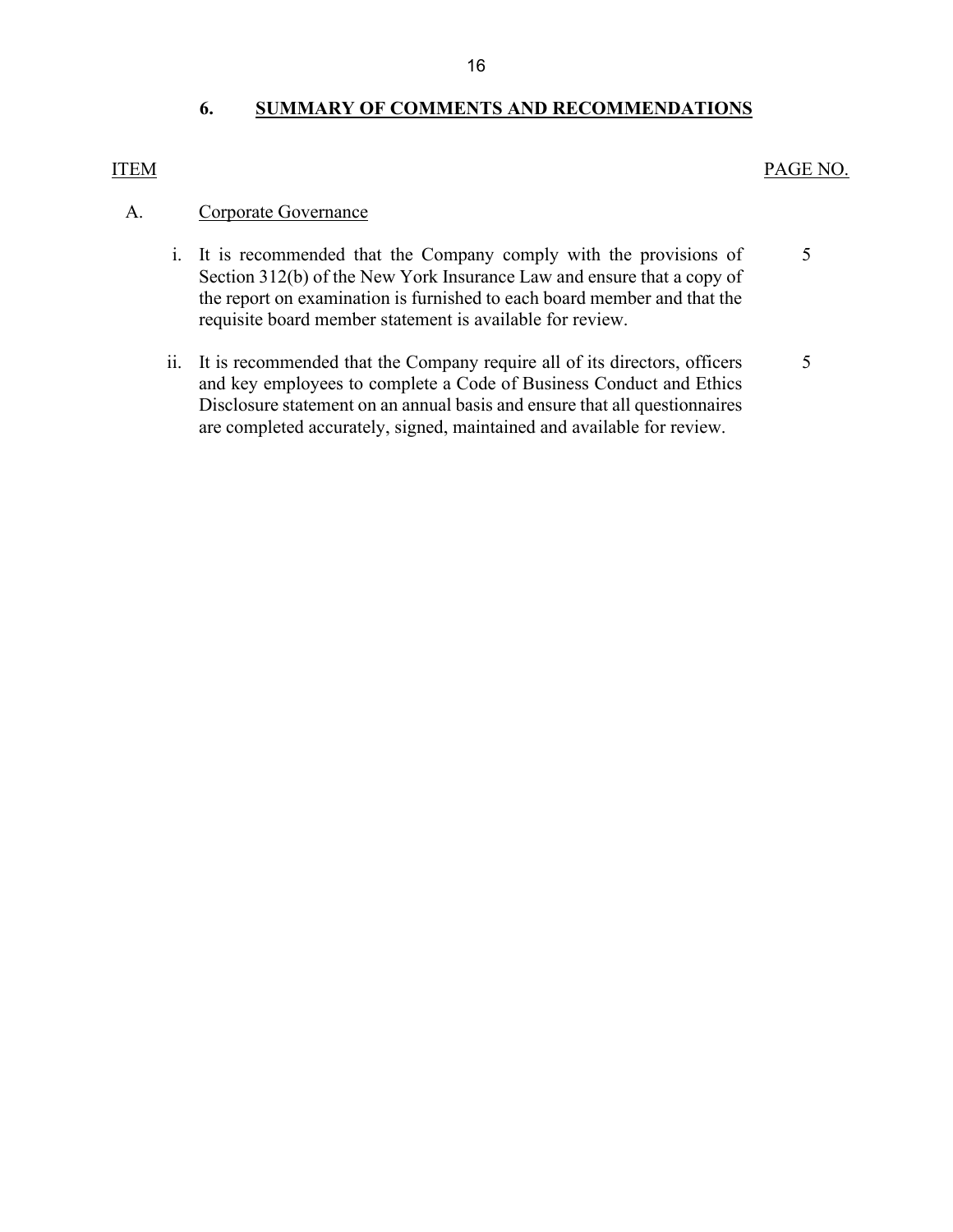## <span id="page-17-0"></span>**6. SUMMARY OF COMMENTS AND RECOMMENDATIONS**

## ITEM PAGE NO.

#### A. Corporate Governance

- Section 312(b) of the New York Insurance Law and ensure that a copy of the report on examination is furnished to each board member and that the requisite board member statement is available for review. i. It is recommended that the Company comply with the provisions of [5](#page-6-0)
- requisite board member statement is available for review.<br>ii. It is recommended that the Company require all of its directors, officers and key employees to complete a Code of Business Conduct and Ethics Disclosure statement on an annual basis and ensure that all questionnaires are completed accurately, signed, maintained and available for review. [5](#page-6-1)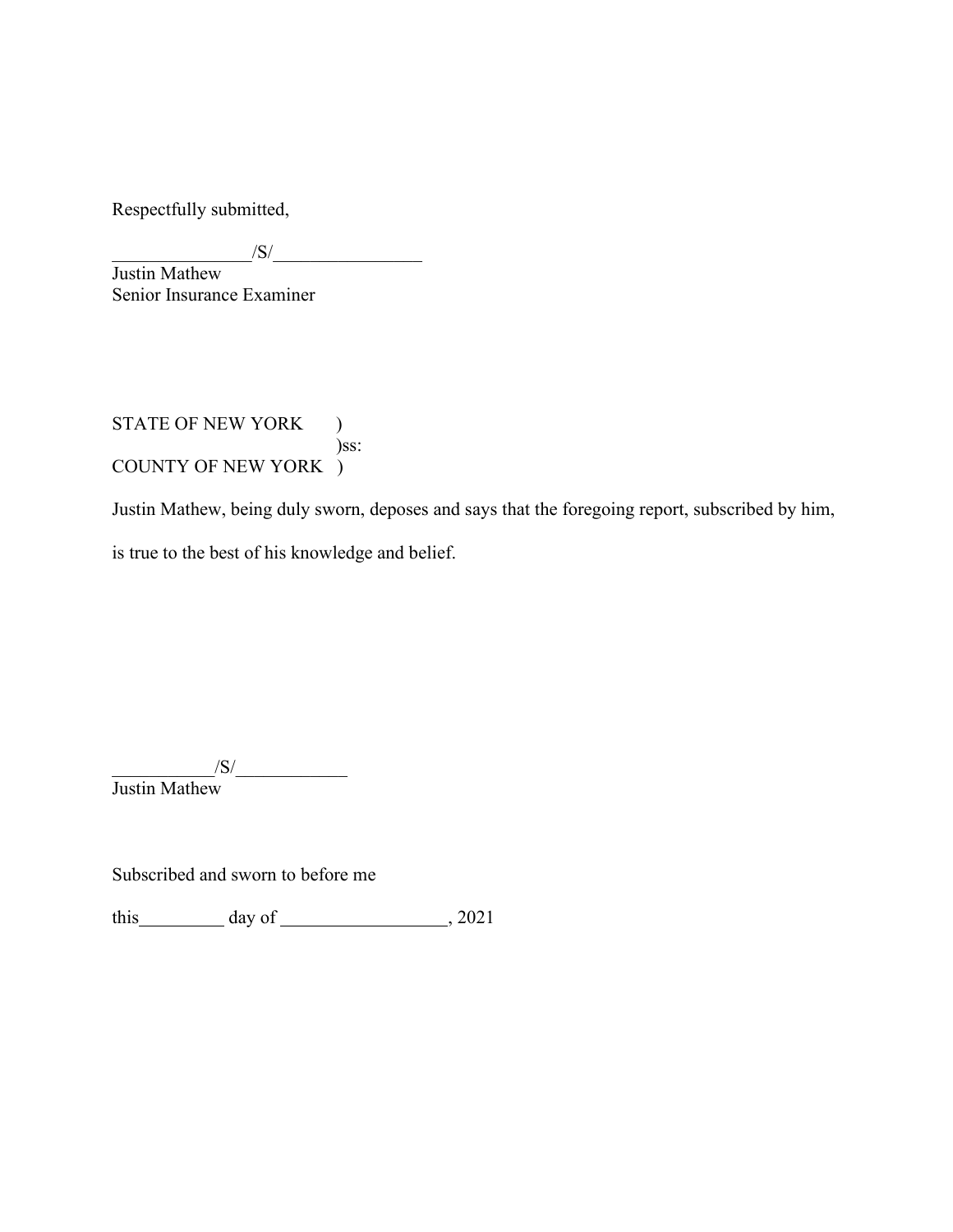Respectfully submitted,

 $\frac{1}{\sqrt{S}}$ 

 Senior Insurance Examiner Justin Mathew

STATE OF NEW YORK ) )ss: COUNTY OF NEW YORK )

Justin Mathew, being duly sworn, deposes and says that the foregoing report, subscribed by him,

is true to the best of his knowledge and belief.

 $\sqrt{S}/\sqrt{S}$ 

Subscribed and sworn to before me

this  $\frac{day \text{ of } (x,y) - (x,y) \text{ of } (x,y) - (y,y) \text{ of } (x,y) \text{ of } (x,y)$